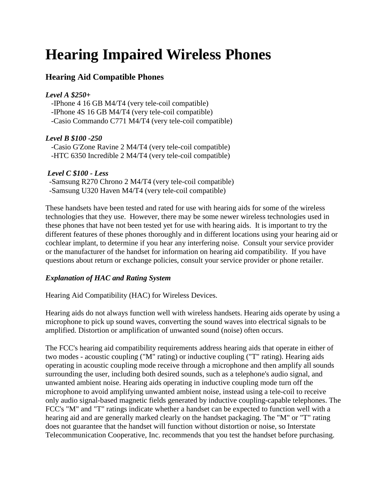# **Hearing Impaired Wireless Phones**

## **Hearing Aid Compatible Phones**

#### *Level A \$250+*

 -IPhone 4 16 GB M4/T4 (very tele-coil compatible) -IPhone 4S 16 GB M4/T4 (very tele-coil compatible) -Casio Commando C771 M4/T4 (very tele-coil compatible)

### *Level B \$100 -250*

 -Casio G'Zone Ravine 2 M4/T4 (very tele-coil compatible) -HTC 6350 Incredible 2 M4/T4 (very tele-coil compatible)

### *Level C \$100 - Less*

-Samsung R270 Chrono 2 M4/T4 (very tele-coil compatible) -Samsung U320 Haven M4/T4 (very tele-coil compatible)

These handsets have been tested and rated for use with hearing aids for some of the wireless technologies that they use. However, there may be some newer wireless technologies used in these phones that have not been tested yet for use with hearing aids. It is important to try the different features of these phones thoroughly and in different locations using your hearing aid or cochlear implant, to determine if you hear any interfering noise. Consult your service provider or the manufacturer of the handset for information on hearing aid compatibility. If you have questions about return or exchange policies, consult your service provider or phone retailer.

### *Explanation of HAC and Rating System*

Hearing Aid Compatibility (HAC) for Wireless Devices.

Hearing aids do not always function well with wireless handsets. Hearing aids operate by using a microphone to pick up sound waves, converting the sound waves into electrical signals to be amplified. Distortion or amplification of unwanted sound (noise) often occurs.

The FCC's hearing aid compatibility requirements address hearing aids that operate in either of two modes - acoustic coupling ("M" rating) or inductive coupling ("T" rating). Hearing aids operating in acoustic coupling mode receive through a microphone and then amplify all sounds surrounding the user, including both desired sounds, such as a telephone's audio signal, and unwanted ambient noise. Hearing aids operating in inductive coupling mode turn off the microphone to avoid amplifying unwanted ambient noise, instead using a tele-coil to receive only audio signal-based magnetic fields generated by inductive coupling-capable telephones. The FCC's "M" and "T" ratings indicate whether a handset can be expected to function well with a hearing aid and are generally marked clearly on the handset packaging. The "M" or "T" rating does not guarantee that the handset will function without distortion or noise, so Interstate Telecommunication Cooperative, Inc. recommends that you test the handset before purchasing.